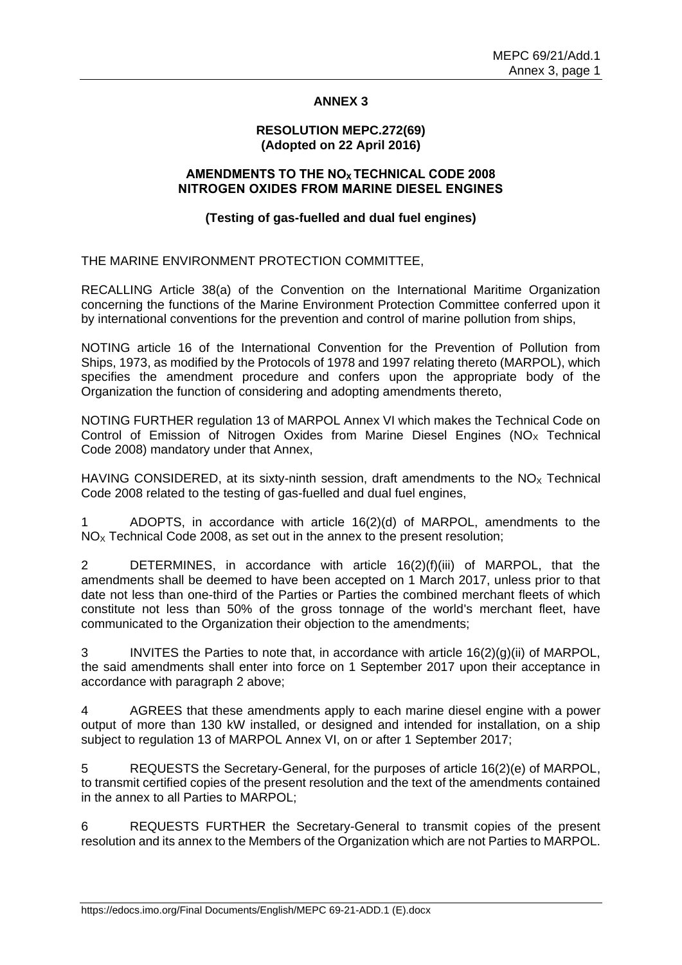## **ANNEX 3**

#### **RESOLUTION MEPC.272(69) (Adopted on 22 April 2016)**

## **AMENDMENTS TO THE NOX TECHNICAL CODE 2008 NITROGEN OXIDES FROM MARINE DIESEL ENGINES**

## **(Testing of gas-fuelled and dual fuel engines)**

THE MARINE ENVIRONMENT PROTECTION COMMITTEE,

RECALLING Article 38(a) of the Convention on the International Maritime Organization concerning the functions of the Marine Environment Protection Committee conferred upon it by international conventions for the prevention and control of marine pollution from ships,

NOTING article 16 of the International Convention for the Prevention of Pollution from Ships, 1973, as modified by the Protocols of 1978 and 1997 relating thereto (MARPOL), which specifies the amendment procedure and confers upon the appropriate body of the Organization the function of considering and adopting amendments thereto,

NOTING FURTHER regulation 13 of MARPOL Annex VI which makes the Technical Code on Control of Emission of Nitrogen Oxides from Marine Diesel Engines ( $NO<sub>x</sub>$  Technical Code 2008) mandatory under that Annex,

HAVING CONSIDERED, at its sixty-ninth session, draft amendments to the  $NO<sub>x</sub>$  Technical Code 2008 related to the testing of gas-fuelled and dual fuel engines,

1 ADOPTS, in accordance with article 16(2)(d) of MARPOL, amendments to the  $NO<sub>x</sub>$  Technical Code 2008, as set out in the annex to the present resolution;

2 DETERMINES, in accordance with article 16(2)(f)(iii) of MARPOL, that the amendments shall be deemed to have been accepted on 1 March 2017, unless prior to that date not less than one-third of the Parties or Parties the combined merchant fleets of which constitute not less than 50% of the gross tonnage of the world's merchant fleet, have communicated to the Organization their objection to the amendments;

3 INVITES the Parties to note that, in accordance with article 16(2)(g)(ii) of MARPOL, the said amendments shall enter into force on 1 September 2017 upon their acceptance in accordance with paragraph 2 above;

4 AGREES that these amendments apply to each marine diesel engine with a power output of more than 130 kW installed, or designed and intended for installation, on a ship subject to regulation 13 of MARPOL Annex VI, on or after 1 September 2017;

5 REQUESTS the Secretary-General, for the purposes of article 16(2)(e) of MARPOL, to transmit certified copies of the present resolution and the text of the amendments contained in the annex to all Parties to MARPOL;

6 REQUESTS FURTHER the Secretary-General to transmit copies of the present resolution and its annex to the Members of the Organization which are not Parties to MARPOL.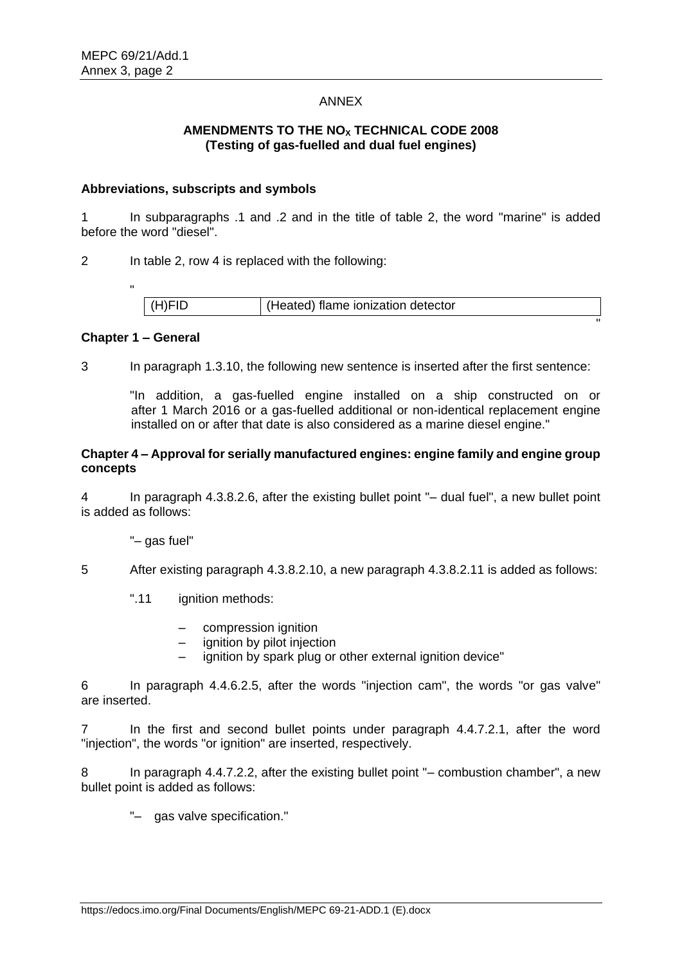## ANNEX

# **AMENDMENTS TO THE NO<sup>X</sup> TECHNICAL CODE 2008 (Testing of gas-fuelled and dual fuel engines)**

### **Abbreviations, subscripts and symbols**

1 In subparagraphs .1 and .2 and in the title of table 2, the word "marine" is added before the word "diesel".

2 In table 2, row 4 is replaced with the following:

| (H)FID | (Heated) flame ionization detector |
|--------|------------------------------------|
|        |                                    |

## **Chapter 1 – General**

3 In paragraph 1.3.10, the following new sentence is inserted after the first sentence:

"In addition, a gas-fuelled engine installed on a ship constructed on or after 1 March 2016 or a gas-fuelled additional or non-identical replacement engine installed on or after that date is also considered as a marine diesel engine."

### **Chapter 4 – Approval for serially manufactured engines: engine family and engine group concepts**

4 In paragraph 4.3.8.2.6, after the existing bullet point "– dual fuel", a new bullet point is added as follows:

"– gas fuel"

5 After existing paragraph 4.3.8.2.10, a new paragraph 4.3.8.2.11 is added as follows:

- ".11 ignition methods:
	- compression ignition
	- ignition by pilot injection
	- ignition by spark plug or other external ignition device"

6 In paragraph 4.4.6.2.5, after the words "injection cam", the words "or gas valve" are inserted.

7 In the first and second bullet points under paragraph 4.4.7.2.1, after the word "injection", the words "or ignition" are inserted, respectively.

8 In paragraph 4.4.7.2.2, after the existing bullet point "– combustion chamber", a new bullet point is added as follows:

"– gas valve specification."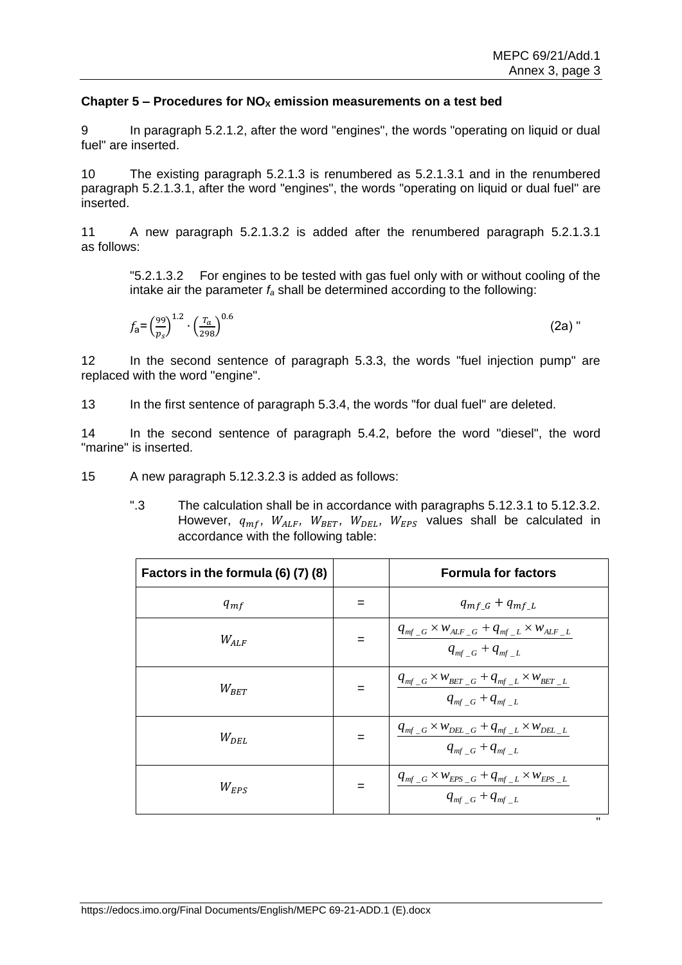## **Chapter 5 – Procedures for NO<sup>X</sup> emission measurements on a test bed**

9 In paragraph 5.2.1.2, after the word "engines", the words "operating on liquid or dual fuel" are inserted.

10 The existing paragraph 5.2.1.3 is renumbered as 5.2.1.3.1 and in the renumbered paragraph 5.2.1.3.1, after the word "engines", the words "operating on liquid or dual fuel" are inserted.

11 A new paragraph 5.2.1.3.2 is added after the renumbered paragraph 5.2.1.3.1 as follows:

"5.2.1.3.2 For engines to be tested with gas fuel only with or without cooling of the intake air the parameter *f<sup>a</sup>* shall be determined according to the following:

$$
f_{\mathbf{a}} = \left(\frac{99}{p_s}\right)^{1.2} \cdot \left(\frac{T_a}{298}\right)^{0.6} \tag{2a}
$$

12 In the second sentence of paragraph 5.3.3, the words "fuel injection pump" are replaced with the word "engine".

13 In the first sentence of paragraph 5.3.4, the words "for dual fuel" are deleted.

14 In the second sentence of paragraph 5.4.2, before the word "diesel", the word "marine" is inserted.

15 A new paragraph 5.12.3.2.3 is added as follows:

".3 The calculation shall be in accordance with paragraphs 5.12.3.1 to 5.12.3.2. However,  $q_{mf}$ ,  $W_{ALF}$ ,  $W_{BET}$ ,  $W_{DEL}$ ,  $W_{EPS}$  values shall be calculated in accordance with the following table:

| Factors in the formula (6) (7) (8) |     | <b>Formula for factors</b>                                                                                                                                                                            |
|------------------------------------|-----|-------------------------------------------------------------------------------------------------------------------------------------------------------------------------------------------------------|
| $q_{mf}$                           |     | $q_{mf_G} + q_{mf_L}$                                                                                                                                                                                 |
| $W_{ALF}$                          |     | $\frac{q_{\textit{mf}\_\textit{G}} \times w_{\textit{ALF}\_\textit{G}} + q_{\textit{mf}\_\textit{L}} \times w_{\textit{ALF}\_\textit{L}}}{q_{\textit{mf}\_\textit{G}} + q_{\textit{mf}\_\textit{L}}}$ |
| $W_{BET}$                          |     | $\frac{q_{\mathit{mf}\_\mathit{G}}\times w_{\mathit{BET}\_\mathit{G}}+q_{\mathit{mf}\_\mathit{L}}\times w_{\mathit{BET}\_\mathit{L}}}{q_{\mathit{mf}\_\mathit{G}}+q_{\mathit{mf}\_\mathit{L}}}$       |
| $W_{DEL}$                          | $=$ | $\frac{q_{\textit{mf}\_\textit{G}} \times w_{\textit{DEL}\_\textit{G}} + q_{\textit{mf}\_\textit{L}} \times w_{\textit{DEL}\_\textit{L}}}{q_{\textit{mf}\_\textit{G}} + q_{\textit{mf}\_\textit{L}}}$ |
| $W_{EPS}$                          |     | $\begin{array}{ c c } \hline q_{\it mf\_G}\times w_{\it EPS\_G} + q_{\it mf\_L}\times w_{\it EPS\_L} \ \hline q_{\it mf\_G} + q_{\it mf\_L} \end{array}$                                              |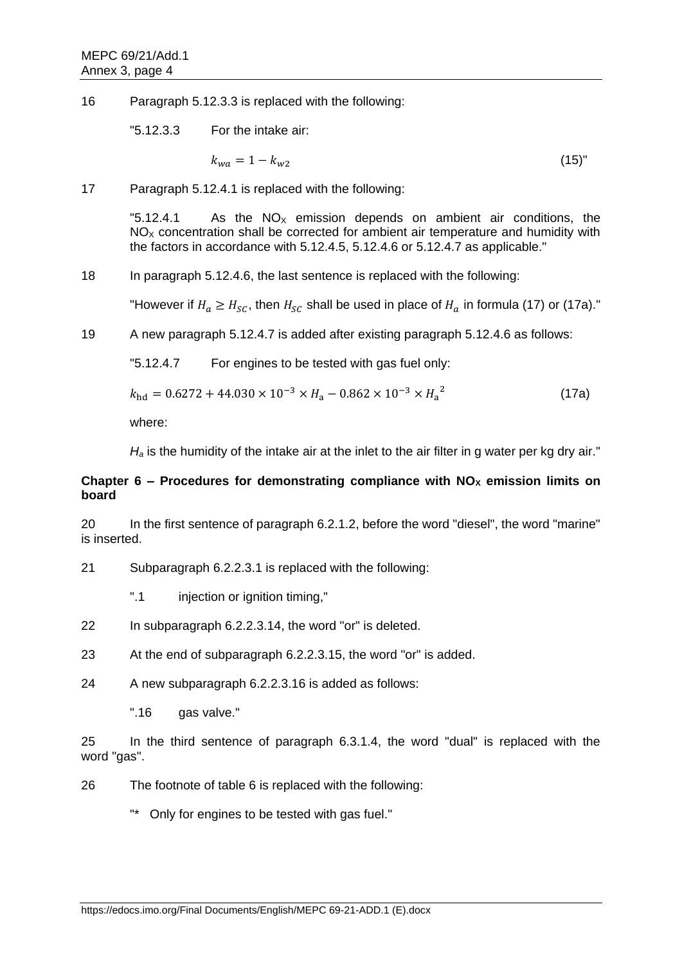16 Paragraph 5.12.3.3 is replaced with the following:

"5.12.3.3 For the intake air:

$$
k_{wa} = 1 - k_{w2} \tag{15}
$$

17 Paragraph 5.12.4.1 is replaced with the following:

"5.12.4.1 As the  $NO<sub>x</sub>$  emission depends on ambient air conditions, the  $NO<sub>x</sub>$  concentration shall be corrected for ambient air temperature and humidity with the factors in accordance with 5.12.4.5, 5.12.4.6 or 5.12.4.7 as applicable."

18 In paragraph 5.12.4.6, the last sentence is replaced with the following:

"However if  $H_a \geq H_{SC}$ , then  $H_{SC}$  shall be used in place of  $H_a$  in formula (17) or (17a)."

19 A new paragraph 5.12.4.7 is added after existing paragraph 5.12.4.6 as follows:

"5.12.4.7 For engines to be tested with gas fuel only:

 $k_{\text{hd}} = 0.6272 + 44.030 \times 10^{-3} \times H_a - 0.862 \times 10^{-3} \times H_a^2$ (17a)

where:

*H<sup>a</sup>* is the humidity of the intake air at the inlet to the air filter in g water per kg dry air."

# **Chapter 6 – Procedures for demonstrating compliance with**  $NO<sub>x</sub>$  **emission limits on board**

20 In the first sentence of paragraph 6.2.1.2, before the word "diesel", the word "marine" is inserted.

21 Subparagraph 6.2.2.3.1 is replaced with the following:

".1 injection or ignition timing."

- 22 In subparagraph 6.2.2.3.14, the word "or" is deleted.
- 23 At the end of subparagraph 6.2.2.3.15, the word "or" is added.
- 24 A new subparagraph 6.2.2.3.16 is added as follows:
	- ".16 gas valve."

25 In the third sentence of paragraph 6.3.1.4, the word "dual" is replaced with the word "gas".

- 26 The footnote of table 6 is replaced with the following:
	- "\* Only for engines to be tested with gas fuel."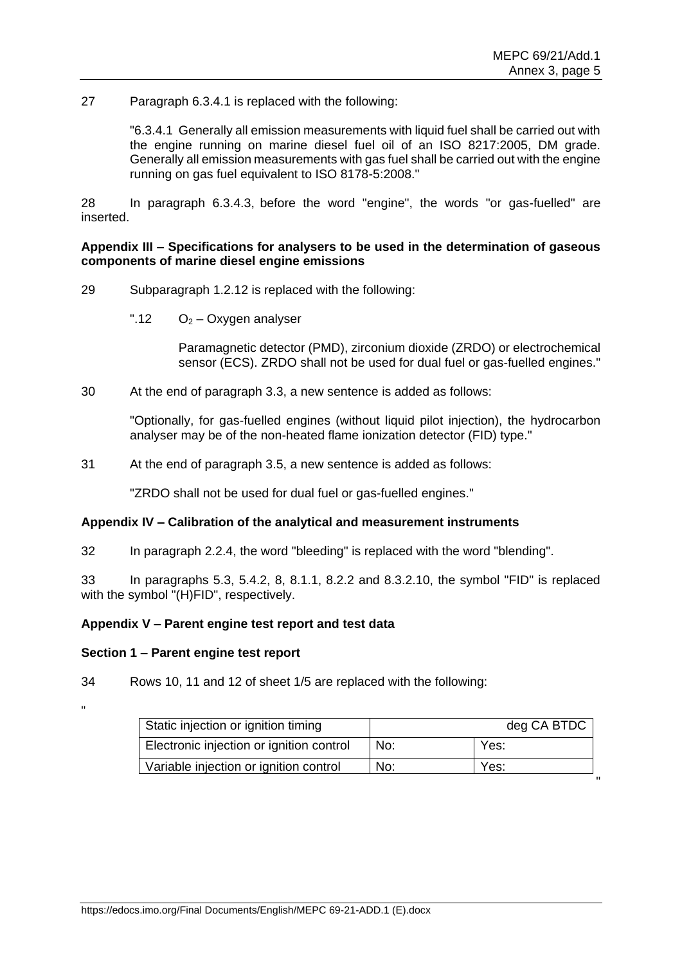# 27 Paragraph 6.3.4.1 is replaced with the following:

"6.3.4.1 Generally all emission measurements with liquid fuel shall be carried out with the engine running on marine diesel fuel oil of an ISO 8217:2005, DM grade. Generally all emission measurements with gas fuel shall be carried out with the engine running on gas fuel equivalent to ISO 8178-5:2008."

28 In paragraph 6.3.4.3, before the word "engine", the words "or gas-fuelled" are inserted.

## **Appendix III – Specifications for analysers to be used in the determination of gaseous components of marine diesel engine emissions**

- 29 Subparagraph 1.2.12 is replaced with the following:
	- ".12  $O_2$  Oxygen analyser

Paramagnetic detector (PMD), zirconium dioxide (ZRDO) or electrochemical sensor (ECS). ZRDO shall not be used for dual fuel or gas-fuelled engines."

30 At the end of paragraph 3.3, a new sentence is added as follows:

"Optionally, for gas-fuelled engines (without liquid pilot injection), the hydrocarbon analyser may be of the non-heated flame ionization detector (FID) type."

31 At the end of paragraph 3.5, a new sentence is added as follows:

"ZRDO shall not be used for dual fuel or gas-fuelled engines."

### **Appendix IV – Calibration of the analytical and measurement instruments**

32 In paragraph 2.2.4, the word "bleeding" is replaced with the word "blending".

33 In paragraphs 5.3, 5.4.2, 8, 8.1.1, 8.2.2 and 8.3.2.10, the symbol "FID" is replaced with the symbol "(H)FID", respectively.

#### **Appendix V – Parent engine test report and test data**

#### **Section 1 – Parent engine test report**

34 Rows 10, 11 and 12 of sheet 1/5 are replaced with the following:

"

| Static injection or ignition timing      | deg CA BTDC |      |  |  |
|------------------------------------------|-------------|------|--|--|
| Electronic injection or ignition control | No:         | Yes: |  |  |
| Variable injection or ignition control   | No:         | Yes: |  |  |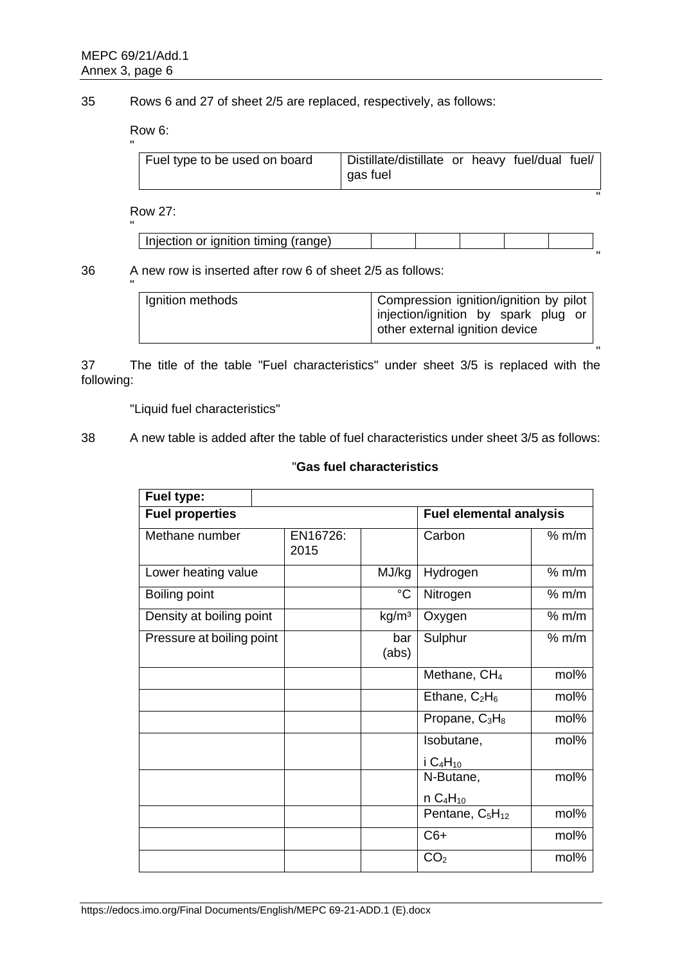"

35 Rows 6 and 27 of sheet 2/5 are replaced, respectively, as follows:

Row 6:

| Fuel type to be used on board | Distillate/distillate or heavy fuel/dual fuel/<br>gas fuel |  |  |
|-------------------------------|------------------------------------------------------------|--|--|
|                               |                                                            |  |  |

Row 27:

| Injection or ignition timing (range) |  |  |  |
|--------------------------------------|--|--|--|
|                                      |  |  |  |

| 36 | A new row is inserted after row 6 of sheet 2/5 as follows: |
|----|------------------------------------------------------------|
|    |                                                            |

| Ignition methods | Compression ignition/ignition by pilot<br>injection/ignition by spark plug or<br>other external ignition device |
|------------------|-----------------------------------------------------------------------------------------------------------------|
|                  |                                                                                                                 |

37 The title of the table "Fuel characteristics" under sheet 3/5 is replaced with the following:

"Liquid fuel characteristics"

38 A new table is added after the table of fuel characteristics under sheet 3/5 as follows:

# "**Gas fuel characteristics**

| Fuel type:                |                  |                   |                                         |       |  |
|---------------------------|------------------|-------------------|-----------------------------------------|-------|--|
| <b>Fuel properties</b>    |                  |                   | <b>Fuel elemental analysis</b>          |       |  |
| Methane number            | EN16726:<br>2015 |                   | Carbon                                  | % m/m |  |
| Lower heating value       |                  | MJ/kg             | Hydrogen                                | % m/m |  |
| Boiling point             |                  | $^{\circ}C$       | Nitrogen                                | % m/m |  |
| Density at boiling point  |                  | kg/m <sup>3</sup> | Oxygen                                  | % m/m |  |
| Pressure at boiling point |                  | bar<br>(abs)      | Sulphur                                 | % m/m |  |
|                           |                  |                   | Methane, CH <sub>4</sub>                | mol%  |  |
|                           |                  |                   | Ethane, $C_2H_6$                        | mol%  |  |
|                           |                  |                   | Propane, $C_3H_8$                       | mol%  |  |
|                           |                  |                   | Isobutane,                              | mol%  |  |
|                           |                  |                   | i C <sub>4</sub> H <sub>10</sub>        |       |  |
|                           |                  |                   | N-Butane,                               | mol%  |  |
|                           |                  |                   | n C <sub>4</sub> H <sub>10</sub>        |       |  |
|                           |                  |                   | Pentane, C <sub>5</sub> H <sub>12</sub> | mol%  |  |
|                           |                  |                   | $C6+$                                   | mol%  |  |
|                           |                  |                   | CO <sub>2</sub>                         | mol%  |  |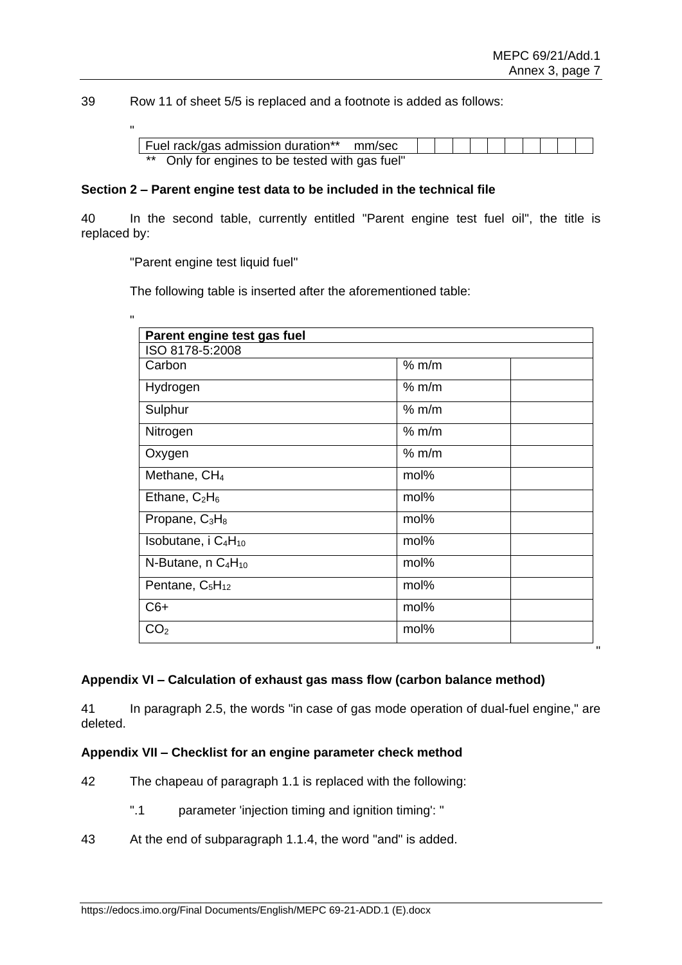39 Row 11 of sheet 5/5 is replaced and a footnote is added as follows:

| Fuel rack/gas admission duration** mm/sec       |  |  |  |  |  |
|-------------------------------------------------|--|--|--|--|--|
| ** Only for engines to be tested with gas fuel" |  |  |  |  |  |

### **Section 2 – Parent engine test data to be included in the technical file**

40 In the second table, currently entitled "Parent engine test fuel oil", the title is replaced by:

"Parent engine test liquid fuel"

"

The following table is inserted after the aforementioned table:

| Parent engine test gas fuel                |       |  |  |  |  |  |  |
|--------------------------------------------|-------|--|--|--|--|--|--|
| ISO 8178-5:2008                            |       |  |  |  |  |  |  |
| Carbon                                     | % m/m |  |  |  |  |  |  |
| Hydrogen                                   | % m/m |  |  |  |  |  |  |
| Sulphur                                    | % m/m |  |  |  |  |  |  |
| Nitrogen                                   | % m/m |  |  |  |  |  |  |
| Oxygen                                     | % m/m |  |  |  |  |  |  |
| Methane, CH <sub>4</sub>                   | mol%  |  |  |  |  |  |  |
| Ethane, $C_2H_6$                           | mol%  |  |  |  |  |  |  |
| Propane, $C_3H_8$                          | mol%  |  |  |  |  |  |  |
| Isobutane, i $C_4H_{10}$                   | mol%  |  |  |  |  |  |  |
| N-Butane, n C <sub>4</sub> H <sub>10</sub> | mol%  |  |  |  |  |  |  |
| Pentane, C <sub>5</sub> H <sub>12</sub>    | mol%  |  |  |  |  |  |  |
| $C6+$                                      | mol%  |  |  |  |  |  |  |
| CO <sub>2</sub>                            | mol%  |  |  |  |  |  |  |

# **Appendix VI – Calculation of exhaust gas mass flow (carbon balance method)**

41 In paragraph 2.5, the words "in case of gas mode operation of dual-fuel engine," are deleted.

#### **Appendix VII – Checklist for an engine parameter check method**

- 42 The chapeau of paragraph 1.1 is replaced with the following:
	- ".1 parameter 'injection timing and ignition timing': "
- 43 At the end of subparagraph 1.1.4, the word "and" is added.